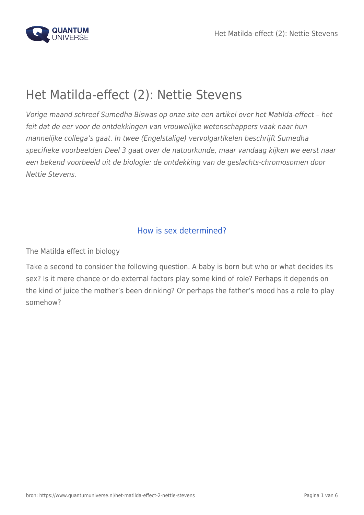

# Het Matilda-effect (2): Nettie Stevens

Vorige maand schreef Sumedha Biswas op onze site een artikel over het Matilda-effect – het feit dat de eer voor de ontdekkingen van vrouwelijke wetenschappers vaak naar hun mannelijke collega's gaat. In twee (Engelstalige) vervolgartikelen beschrijft Sumedha specifieke voorbeelden Deel 3 gaat over de natuurkunde, maar vandaag kijken we eerst naar een bekend voorbeeld uit de biologie: de ontdekking van de geslachts-chromosomen door Nettie Stevens.

## How is sex determined?

The Matilda effect in biology

Take a second to consider the following question. A baby is born but who or what decides its sex? Is it mere chance or do external factors play some kind of role? Perhaps it depends on the kind of juice the mother's been drinking? Or perhaps the father's mood has a role to play somehow?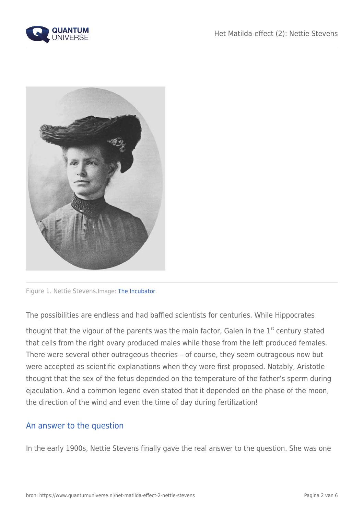



Figure 1. Nettie Stevens.Image: [The Incubator](http://incubator.rockefeller.edu/wp-content/uploads/2010/05/NettieStevens.jpg).

The possibilities are endless and had baffled scientists for centuries. While Hippocrates

thought that the vigour of the parents was the main factor, Galen in the  $1<sup>st</sup>$  century stated that cells from the right ovary produced males while those from the left produced females. There were several other outrageous theories – of course, they seem outrageous now but were accepted as scientific explanations when they were first proposed. Notably, Aristotle thought that the sex of the fetus depended on the temperature of the father's sperm during ejaculation. And a common legend even stated that it depended on the phase of the moon, the direction of the wind and even the time of day during fertilization!

### An answer to the question

In the early 1900s, Nettie Stevens finally gave the real answer to the question. She was one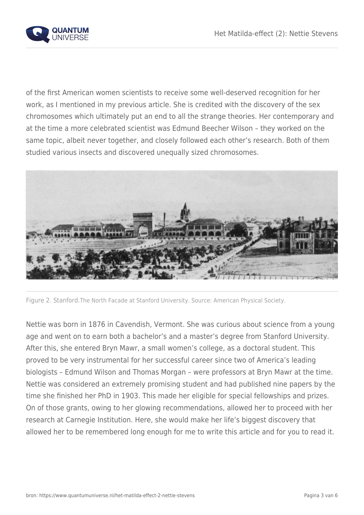

of the first American women scientists to receive some well-deserved recognition for her work, as I mentioned in my previous article. She is credited with the discovery of the sex chromosomes which ultimately put an end to all the strange theories. Her contemporary and at the time a more celebrated scientist was Edmund Beecher Wilson – they worked on the same topic, albeit never together, and closely followed each other's research. Both of them studied various insects and discovered unequally sized chromosomes.



Figure 2. Stanford.The North Facade at Stanford University. Source: American Physical Society.

Nettie was born in 1876 in Cavendish, Vermont. She was curious about science from a young age and went on to earn both a bachelor's and a master's degree from Stanford University. After this, she entered Bryn Mawr, a small women's college, as a doctoral student. This proved to be very instrumental for her successful career since two of America's leading biologists – Edmund Wilson and Thomas Morgan – were professors at Bryn Mawr at the time. Nettie was considered an extremely promising student and had published nine papers by the time she finished her PhD in 1903. This made her eligible for special fellowships and prizes. On of those grants, owing to her glowing recommendations, allowed her to proceed with her research at Carnegie Institution. Here, she would make her life's biggest discovery that allowed her to be remembered long enough for me to write this article and for you to read it.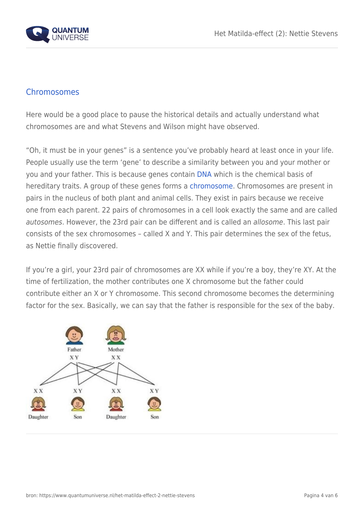

### **Chromosomes**

Here would be a good place to pause the historical details and actually understand what chromosomes are and what Stevens and Wilson might have observed.

"Oh, it must be in your genes" is a sentence you've probably heard at least once in your life. People usually use the term 'gene' to describe a similarity between you and your mother or you and your father. This is because genes contain [DNA](https://en.wikipedia.org/wiki/DNA) which is the chemical basis of hereditary traits. A group of these genes forms a [chromosome.](https://en.wikipedia.org/wiki/Chromosome) Chromosomes are present in pairs in the nucleus of both plant and animal cells. They exist in pairs because we receive one from each parent. 22 pairs of chromosomes in a cell look exactly the same and are called autosomes. However, the 23rd pair can be different and is called an allosome. This last pair consists of the sex chromosomes – called X and Y. This pair determines the sex of the fetus, as Nettie finally discovered.

If you're a girl, your 23rd pair of chromosomes are XX while if you're a boy, they're XY. At the time of fertilization, the mother contributes one X chromosome but the father could contribute either an X or Y chromosome. This second chromosome becomes the determining factor for the sex. Basically, we can say that the father is responsible for the sex of the baby.

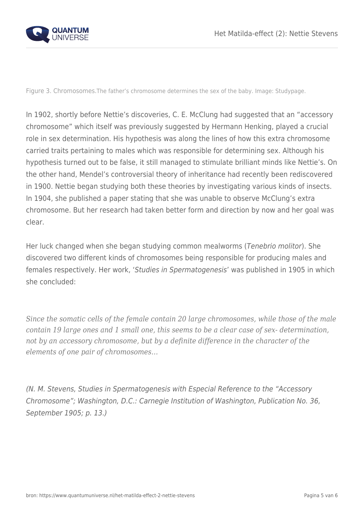

Figure 3. Chromosomes.The father's chromosome determines the sex of the baby. Image: Studypage.

In 1902, shortly before Nettie's discoveries, C. E. McClung had suggested that an "accessory chromosome" which itself was previously suggested by Hermann Henking, played a crucial role in sex determination. His hypothesis was along the lines of how this extra chromosome carried traits pertaining to males which was responsible for determining sex. Although his hypothesis turned out to be false, it still managed to stimulate brilliant minds like Nettie's. On the other hand, Mendel's controversial theory of inheritance had recently been rediscovered in 1900. Nettie began studying both these theories by investigating various kinds of insects. In 1904, she published a paper stating that she was unable to observe McClung's extra chromosome. But her research had taken better form and direction by now and her goal was clear.

Her luck changed when she began studying common mealworms (Tenebrio molitor). She discovered two different kinds of chromosomes being responsible for producing males and females respectively. Her work, 'Studies in Spermatogenesis' was published in 1905 in which she concluded:

*Since the somatic cells of the female contain 20 large chromosomes, while those of the male contain 19 large ones and 1 small one, this seems to be a clear case of sex- determination, not by an accessory chromosome, but by a definite difference in the character of the elements of one pair of chromosomes…*

(N. M. Stevens, Studies in Spermatogenesis with Especial Reference to the "Accessory Chromosome"; Washington, D.C.: Carnegie Institution of Washington, Publication No. 36, September 1905; p. 13.)